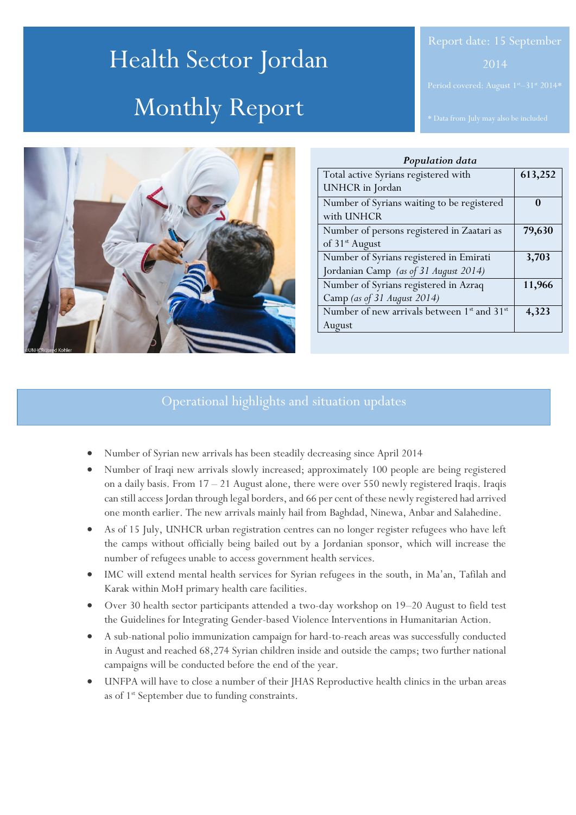# Health Sector Jordan Monthly Report



| Population data                                                     |         |
|---------------------------------------------------------------------|---------|
| Total active Syrians registered with                                | 613,252 |
| <b>UNHCR</b> in Jordan                                              |         |
| Number of Syrians waiting to be registered                          | 0       |
| with UNHCR                                                          |         |
| Number of persons registered in Zaatari as                          | 79,630  |
| of 31 <sup>st</sup> August                                          |         |
| Number of Syrians registered in Emirati                             | 3,703   |
| Jordanian Camp (as of 31 August 2014)                               |         |
| Number of Syrians registered in Azraq                               | 11,966  |
| Camp (as of 31 August 2014)                                         |         |
| Number of new arrivals between 1 <sup>st</sup> and 31 <sup>st</sup> | 4,323   |
| August                                                              |         |

# Operational highlights and situation updates

- Number of Syrian new arrivals has been steadily decreasing since April 2014
- Number of Iraqi new arrivals slowly increased; approximately 100 people are being registered on a daily basis. From 17 – 21 August alone, there were over 550 newly registered Iraqis. Iraqis can still access Jordan through legal borders, and 66 per cent of these newly registered had arrived one month earlier. The new arrivals mainly hail from Baghdad, Ninewa, Anbar and Salahedine.
- As of 15 July, UNHCR urban registration centres can no longer register refugees who have left the camps without officially being bailed out by a Jordanian sponsor, which will increase the number of refugees unable to access government health services.
- IMC will extend mental health services for Syrian refugees in the south, in Ma'an, Tafilah and Karak within MoH primary health care facilities.
- Over 30 health sector participants attended a two-day workshop on 19–20 August to field test the Guidelines for Integrating Gender-based Violence Interventions in Humanitarian Action.
- A sub-national polio immunization campaign for hard-to-reach areas was successfully conducted in August and reached 68,274 Syrian children inside and outside the camps; two further national campaigns will be conducted before the end of the year.
- UNFPA will have to close a number of their JHAS Reproductive health clinics in the urban areas as of 1<sup>st</sup> September due to funding constraints.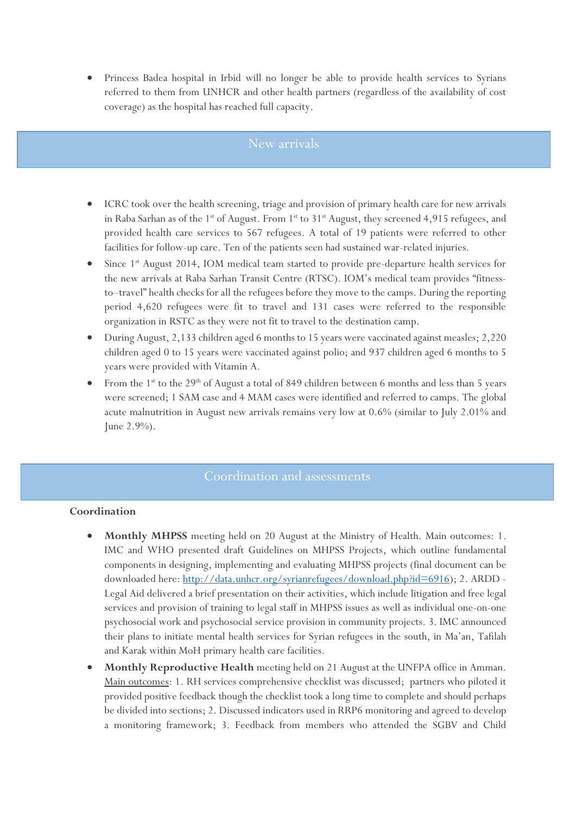Princess Badea hospital in Irbid will no longer be able to provide health services to Syrians referred to them from UNHCR and other health partners (regardless of the availability of cost coverage) as the hospital has reached full capacity.

# New arrivals

- ICRC took over the health screening, triage and provision of primary health care for new arrivals in Raba Sarhan as of the 1<sup>st</sup> of August. From 1<sup>st</sup> to 31<sup>st</sup> August, they screened 4,915 refugees, and provided health care services to 567 refugees. A total of 19 patients were referred to other facilities for follow-up care. Ten of the patients seen had sustained war-related injuries.
- Since 1<sup>st</sup> August 2014, IOM medical team started to provide pre-departure health services for the new arrivals at Raba Sarhan Transit Centre (RTSC). IOM's medical team provides "fitnessto–travel" health checks for all the refugees before they move to the camps. During the reporting period 4,620 refugees were fit to travel and 131 cases were referred to the responsible organization in RSTC as they were not fit to travel to the destination camp.
- During August, 2,133 children aged 6 months to 15 years were vaccinated against measles; 2,220 children aged 0 to 15 years were vaccinated against polio; and 937 children aged 6 months to 5 years were provided with Vitamin A.
- From the  $1^{\text{st}}$  to the  $29^{\text{th}}$  of August a total of 849 children between 6 months and less than 5 years were screened; 1 SAM case and 4 MAM cases were identified and referred to camps. The global acute malnutrition in August new arrivals remains very low at 0.6% (similar to July 2.01% and June 2.9%).

### **Coordination**

- **Monthly MHPSS** meeting held on 20 August at the Ministry of Health. Main outcomes: 1. IMC and WHO presented draft Guidelines on MHPSS Projects, which outline fundamental components in designing, implementing and evaluating MHPSS projects (final document can be downloaded here: [http://data.unhcr.org/syrianrefugees/download.php?id=6916\)](http://data.unhcr.org/syrianrefugees/download.php?id=6916); 2. ARDD -Legal Aid delivered a brief presentation on their activities, which include litigation and free legal services and provision of training to legal staff in MHPSS issues as well as individual one-on-one psychosocial work and psychosocial service provision in community projects. 3. IMC announced their plans to initiate mental health services for Syrian refugees in the south, in Ma'an, Tafilah and Karak within MoH primary health care facilities.
- **Monthly Reproductive Health** meeting held on 21 August at the UNFPA office in Amman. Main outcomes: 1. RH services comprehensive checklist was discussed; partners who piloted it provided positive feedback though the checklist took a long time to complete and should perhaps be divided into sections; 2. Discussed indicators used in RRP6 monitoring and agreed to develop a monitoring framework; 3. Feedback from members who attended the SGBV and Child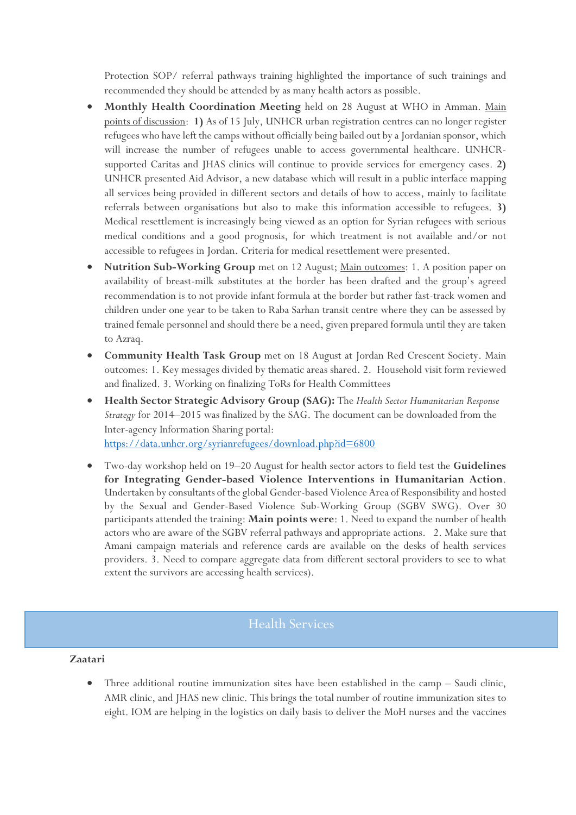Protection SOP/ referral pathways training highlighted the importance of such trainings and recommended they should be attended by as many health actors as possible.

- **Monthly Health Coordination Meeting** held on 28 August at WHO in Amman. Main points of discussion: **1)** As of 15 July, UNHCR urban registration centres can no longer register refugees who have left the camps without officially being bailed out by a Jordanian sponsor, which will increase the number of refugees unable to access governmental healthcare. UNHCRsupported Caritas and JHAS clinics will continue to provide services for emergency cases. **2)** UNHCR presented Aid Advisor, a new database which will result in a public interface mapping all services being provided in different sectors and details of how to access, mainly to facilitate referrals between organisations but also to make this information accessible to refugees. **3)** Medical resettlement is increasingly being viewed as an option for Syrian refugees with serious medical conditions and a good prognosis, for which treatment is not available and/or not accessible to refugees in Jordan. Criteria for medical resettlement were presented.
- **Nutrition Sub-Working Group** met on 12 August; Main outcomes: 1. A position paper on availability of breast-milk substitutes at the border has been drafted and the group's agreed recommendation is to not provide infant formula at the border but rather fast-track women and children under one year to be taken to Raba Sarhan transit centre where they can be assessed by trained female personnel and should there be a need, given prepared formula until they are taken to Azraq.
- **Community Health Task Group** met on 18 August at Jordan Red Crescent Society. Main outcomes: 1. Key messages divided by thematic areas shared. 2. Household visit form reviewed and finalized. 3. Working on finalizing ToRs for Health Committees
- **Health Sector Strategic Advisory Group (SAG):** The *Health Sector Humanitarian Response Strategy* for 2014–2015 was finalized by the SAG. The document can be downloaded from the Inter-agency Information Sharing portal: <https://data.unhcr.org/syrianrefugees/download.php?id=6800>
- Two-day workshop held on 19–20 August for health sector actors to field test the **Guidelines for Integrating Gender-based Violence Interventions in Humanitarian Action**. Undertaken by consultants of the global Gender-based Violence Area of Responsibility and hosted by the Sexual and Gender-Based Violence Sub-Working Group (SGBV SWG). Over 30 participants attended the training: **Main points were**: 1. Need to expand the number of health actors who are aware of the SGBV referral pathways and appropriate actions. 2. Make sure that Amani campaign materials and reference cards are available on the desks of health services providers. 3. Need to compare aggregate data from different sectoral providers to see to what extent the survivors are accessing health services).

# Health Services

## **Zaatari**

 Three additional routine immunization sites have been established in the camp – Saudi clinic, AMR clinic, and JHAS new clinic. This brings the total number of routine immunization sites to eight. IOM are helping in the logistics on daily basis to deliver the MoH nurses and the vaccines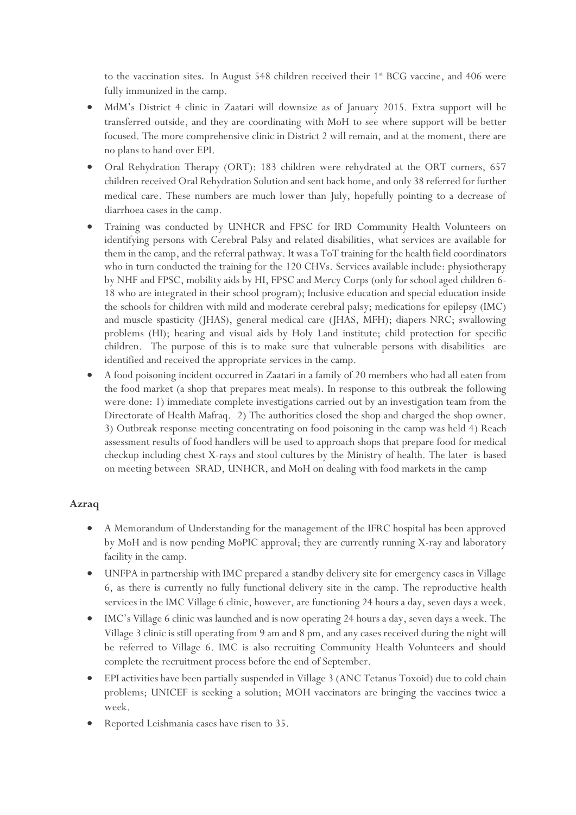to the vaccination sites. In August 548 children received their 1<sup>st</sup> BCG vaccine, and 406 were fully immunized in the camp.

- MdM's District 4 clinic in Zaatari will downsize as of January 2015. Extra support will be transferred outside, and they are coordinating with MoH to see where support will be better focused. The more comprehensive clinic in District 2 will remain, and at the moment, there are no plans to hand over EPI.
- Oral Rehydration Therapy (ORT): 183 children were rehydrated at the ORT corners, 657 children received Oral Rehydration Solution and sent back home, and only 38 referred for further medical care. These numbers are much lower than July, hopefully pointing to a decrease of diarrhoea cases in the camp.
- Training was conducted by UNHCR and FPSC for IRD Community Health Volunteers on identifying persons with Cerebral Palsy and related disabilities, what services are available for them in the camp, and the referral pathway. It was a ToT training for the health field coordinators who in turn conducted the training for the 120 CHVs. Services available include: physiotherapy by NHF and FPSC, mobility aids by HI, FPSC and Mercy Corps (only for school aged children 6- 18 who are integrated in their school program); Inclusive education and special education inside the schools for children with mild and moderate cerebral palsy; medications for epilepsy (IMC) and muscle spasticity (JHAS), general medical care (JHAS, MFH); diapers NRC; swallowing problems (HI); hearing and visual aids by Holy Land institute; child protection for specific children. The purpose of this is to make sure that vulnerable persons with disabilities are identified and received the appropriate services in the camp.
- A food poisoning incident occurred in Zaatari in a family of 20 members who had all eaten from the food market (a shop that prepares meat meals). In response to this outbreak the following were done: 1) immediate complete investigations carried out by an investigation team from the Directorate of Health Mafraq. 2) The authorities closed the shop and charged the shop owner. 3) Outbreak response meeting concentrating on food poisoning in the camp was held 4) Reach assessment results of food handlers will be used to approach shops that prepare food for medical checkup including chest X-rays and stool cultures by the Ministry of health. The later is based on meeting between SRAD, UNHCR, and MoH on dealing with food markets in the camp

# **Azraq**

- A Memorandum of Understanding for the management of the IFRC hospital has been approved by MoH and is now pending MoPIC approval; they are currently running X-ray and laboratory facility in the camp.
- UNFPA in partnership with IMC prepared a standby delivery site for emergency cases in Village 6, as there is currently no fully functional delivery site in the camp. The reproductive health services in the IMC Village 6 clinic, however, are functioning 24 hours a day, seven days a week.
- IMC's Village 6 clinic was launched and is now operating 24 hours a day, seven days a week. The Village 3 clinic is still operating from 9 am and 8 pm, and any cases received during the night will be referred to Village 6. IMC is also recruiting Community Health Volunteers and should complete the recruitment process before the end of September.
- EPI activities have been partially suspended in Village 3 (ANC Tetanus Toxoid) due to cold chain problems; UNICEF is seeking a solution; MOH vaccinators are bringing the vaccines twice a week.
- Reported Leishmania cases have risen to 35.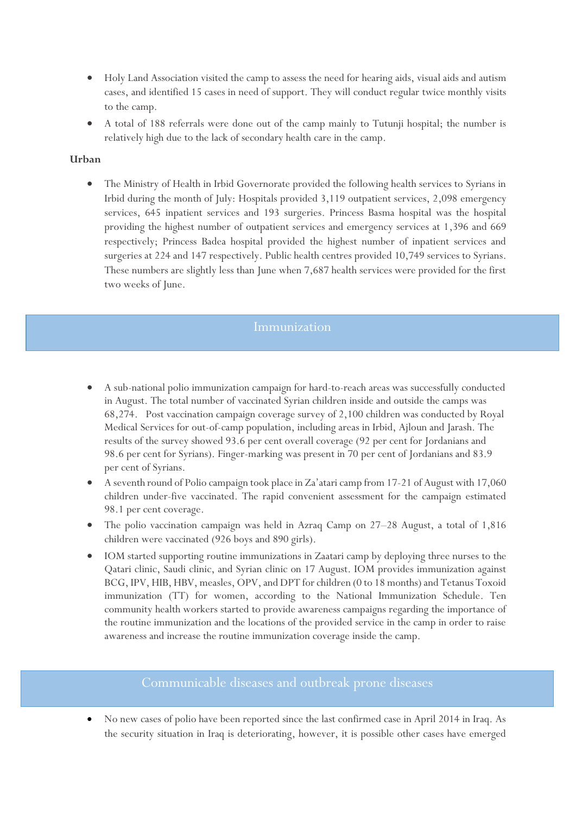- Holy Land Association visited the camp to assess the need for hearing aids, visual aids and autism cases, and identified 15 cases in need of support. They will conduct regular twice monthly visits to the camp.
- A total of 188 referrals were done out of the camp mainly to Tutunji hospital; the number is relatively high due to the lack of secondary health care in the camp.

## **Urban**

 The Ministry of Health in Irbid Governorate provided the following health services to Syrians in Irbid during the month of July: Hospitals provided 3,119 outpatient services, 2,098 emergency services, 645 inpatient services and 193 surgeries. Princess Basma hospital was the hospital providing the highest number of outpatient services and emergency services at 1,396 and 669 respectively; Princess Badea hospital provided the highest number of inpatient services and surgeries at 224 and 147 respectively. Public health centres provided 10,749 services to Syrians. These numbers are slightly less than June when 7,687 health services were provided for the first two weeks of June.

## Immunization

- A sub-national polio immunization campaign for hard-to-reach areas was successfully conducted in August. The total number of vaccinated Syrian children inside and outside the camps was 68,274. Post vaccination campaign coverage survey of 2,100 children was conducted by Royal Medical Services for out-of-camp population, including areas in Irbid, Ajloun and Jarash. The results of the survey showed 93.6 per cent overall coverage (92 per cent for Jordanians and 98.6 per cent for Syrians). Finger-marking was present in 70 per cent of Jordanians and 83.9 per cent of Syrians.
- A seventh round of Polio campaign took place in Za'atari camp from 17-21 of August with 17,060 children under-five vaccinated. The rapid convenient assessment for the campaign estimated 98.1 per cent coverage.
- The polio vaccination campaign was held in Azraq Camp on 27–28 August, a total of 1,816 children were vaccinated (926 boys and 890 girls).
- IOM started supporting routine immunizations in Zaatari camp by deploying three nurses to the Qatari clinic, Saudi clinic, and Syrian clinic on 17 August. IOM provides immunization against BCG, IPV, HIB, HBV, measles, OPV, and DPT for children (0 to 18 months) and Tetanus Toxoid immunization (TT) for women, according to the National Immunization Schedule. Ten community health workers started to provide awareness campaigns regarding the importance of the routine immunization and the locations of the provided service in the camp in order to raise awareness and increase the routine immunization coverage inside the camp.

# Communicable diseases and outbreak prone diseases

 No new cases of polio have been reported since the last confirmed case in April 2014 in Iraq. As the security situation in Iraq is deteriorating, however, it is possible other cases have emerged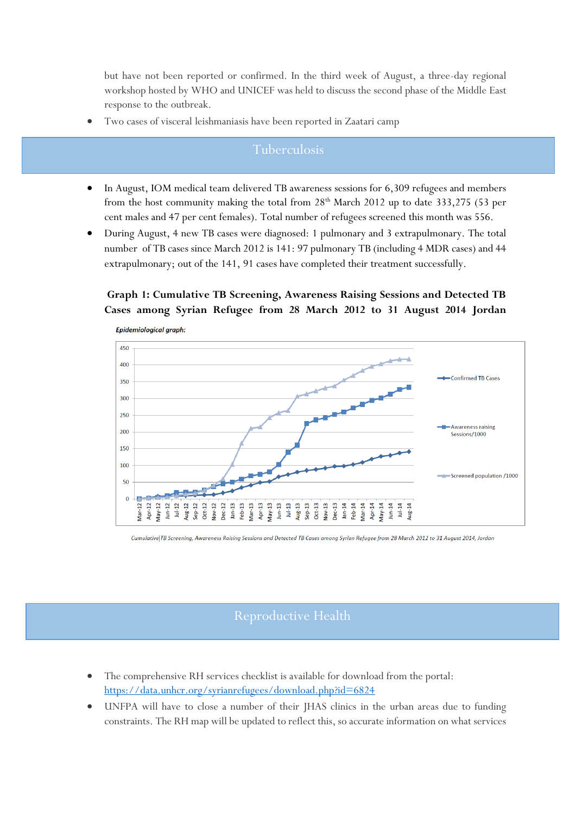but have not been reported or confirmed. In the third week of August, a three-day regional workshop hosted by WHO and UNICEF was held to discuss the second phase of the Middle East response to the outbreak.

Two cases of visceral leishmaniasis have been reported in Zaatari camp

- In August, IOM medical team delivered TB awareness sessions for 6,309 refugees and members from the host community making the total from 28<sup>th</sup> March 2012 up to date 333,275 (53 per cent males and 47 per cent females). Total number of refugees screened this month was 556.
- During August, 4 new TB cases were diagnosed: 1 pulmonary and 3 extrapulmonary. The total number of TB cases since March 2012 is 141: 97 pulmonary TB (including 4 MDR cases) and 44 extrapulmonary; out of the 141, 91 cases have completed their treatment successfully.

# **Graph 1: Cumulative TB Screening, Awareness Raising Sessions and Detected TB Cases among Syrian Refugee from 28 March 2012 to 31 August 2014 Jordan**



Cumulative TB Screening, Awareness Raising Sessions and Detected TB Cases among Syrian Refugee from 28 March 2012 to 31 August 2014, Jordan

# Reproductive Health

- The comprehensive RH services checklist is available for download from the portal: <https://data.unhcr.org/syrianrefugees/download.php?id=6824>
- UNFPA will have to close a number of their JHAS clinics in the urban areas due to funding constraints. The RH map will be updated to reflect this, so accurate information on what services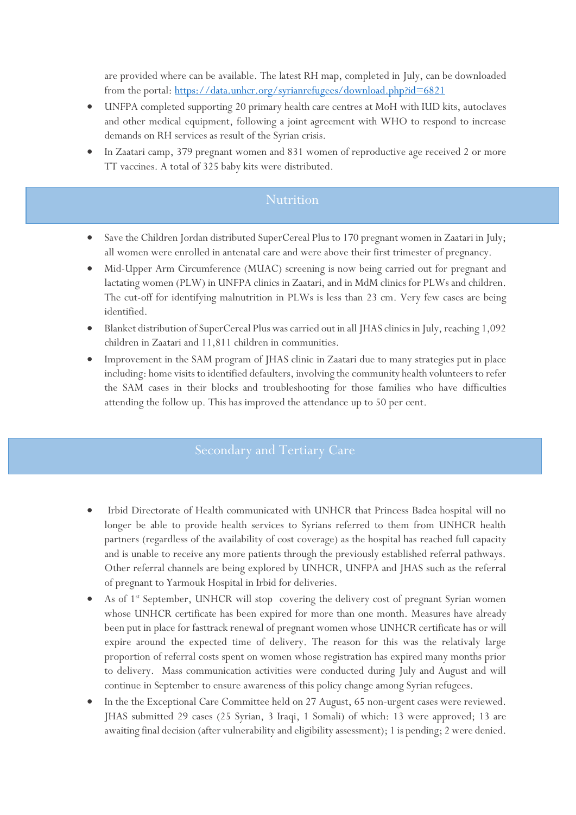are provided where can be available. The latest RH map, completed in July, can be downloaded from the portal:<https://data.unhcr.org/syrianrefugees/download.php?id=6821>

- UNFPA completed supporting 20 primary health care centres at MoH with IUD kits, autoclaves and other medical equipment, following a joint agreement with WHO to respond to increase demands on RH services as result of the Syrian crisis.
- In Zaatari camp, 379 pregnant women and 831 women of reproductive age received 2 or more TT vaccines. A total of 325 baby kits were distributed.

# **Nutrition**

- Save the Children Jordan distributed SuperCereal Plus to 170 pregnant women in Zaatari in July; all women were enrolled in antenatal care and were above their first trimester of pregnancy.
- Mid-Upper Arm Circumference (MUAC) screening is now being carried out for pregnant and lactating women (PLW) in UNFPA clinics in Zaatari, and in MdM clinics for PLWs and children. The cut-off for identifying malnutrition in PLWs is less than 23 cm. Very few cases are being identified.
- Blanket distribution of SuperCereal Plus was carried out in all JHAS clinics in July, reaching 1,092 children in Zaatari and 11,811 children in communities.
- Improvement in the SAM program of JHAS clinic in Zaatari due to many strategies put in place including: home visits to identified defaulters, involving the community health volunteers to refer the SAM cases in their blocks and troubleshooting for those families who have difficulties attending the follow up. This has improved the attendance up to 50 per cent.

- Irbid Directorate of Health communicated with UNHCR that Princess Badea hospital will no longer be able to provide health services to Syrians referred to them from UNHCR health partners (regardless of the availability of cost coverage) as the hospital has reached full capacity and is unable to receive any more patients through the previously established referral pathways. Other referral channels are being explored by UNHCR, UNFPA and JHAS such as the referral of pregnant to Yarmouk Hospital in Irbid for deliveries.
- As of 1<sup>st</sup> September, UNHCR will stop covering the delivery cost of pregnant Syrian women whose UNHCR certificate has been expired for more than one month. Measures have already been put in place for fasttrack renewal of pregnant women whose UNHCR certificate has or will expire around the expected time of delivery. The reason for this was the relativaly large proportion of referral costs spent on women whose registration has expired many months prior to delivery. Mass communication activities were conducted during July and August and will continue in September to ensure awareness of this policy change among Syrian refugees.
- In the the Exceptional Care Committee held on 27 August, 65 non-urgent cases were reviewed. JHAS submitted 29 cases (25 Syrian, 3 Iraqi, 1 Somali) of which: 13 were approved; 13 are awaiting final decision (after vulnerability and eligibility assessment); 1 is pending; 2 were denied.